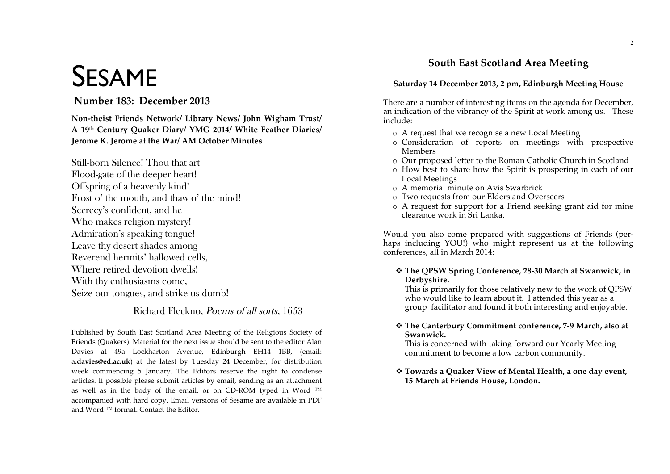# **SESAME**

## Number 183: December 2013

Non-theist Friends Network/ Library News/ John Wigham Trust/ A 19th Century Quaker Diary/ YMG 2014/ White Feather Diaries/ Jerome K. Jerome at the War/ AM October Minutes

Still-born Silence! Thou that art Flood-gate of the deeper heart! Offspring of a heavenly kind! Frost o' the mouth, and thaw o' the mind! Secrecy's confident, and he Who makes religion mystery! Admiration's speaking tongue! Leave thy desert shades among Reverend hermits' hallowed cells. Where retired devotion dwells! With thy enthusiasms come, Seize our tongues, and strike us dumb!

## Richard Fleckno, Poems of all sorts, 1653

Published by South East Scotland Area Meeting of the Religious Society of Friends (Quakers). Material for the next issue should be sent to the editor Alan Davies at 49a Lockharton Avenue, Edinburgh EH14 1BB, (email: a.davies@ed.ac.uk) at the latest by Tuesday 24 December, for distribution week commencing 5 January. The Editors reserve the right to condense articles. If possible please submit articles by email, sending as an attachment as well as in the body of the email, or on CD-ROM typed in Word ™ accompanied with hard copy. Email versions of Sesame are available in PDF and Word ™ format. Contact the Editor.

# **South East Scotland Area Meeting**

#### Saturday 14 December 2013, 2 pm, Edinburgh Meeting House

There are a number of interesting items on the agenda for December, an indication of the vibrancy of the Spirit at work among us. These include:

- o A request that we recognise a new Local Meeting
- o Consideration of reports on meetings with prospective **Members**
- Our proposed letter to the Roman Catholic Church in Scotland
- o How best to share how the Spirit is prospering in each of our **Local Meetings**
- $\circ$  A memorial minute on Avis Swarbrick
- Two requests from our Elders and Overseers
- o A request for support for a Friend seeking grant aid for mine clearance work in Sri Lanka.

Would you also come prepared with suggestions of Friends (perhaps including YOU!) who might represent us at the following conferences, all in March 2014:

❖ The QPSW Spring Conference, 28-30 March at Swanwick, in Derbyshire.

This is primarily for those relatively new to the work of QPSW who would like to learn about it. I attended this year as a group facilitator and found it both interesting and enjovable.

❖ The Canterbury Commitment conference, 7-9 March, also at Swanwick.

This is concerned with taking forward our Yearly Meeting commitment to become a low carbon community.

\* Towards a Quaker View of Mental Health, a one day event, 15 March at Friends House, London.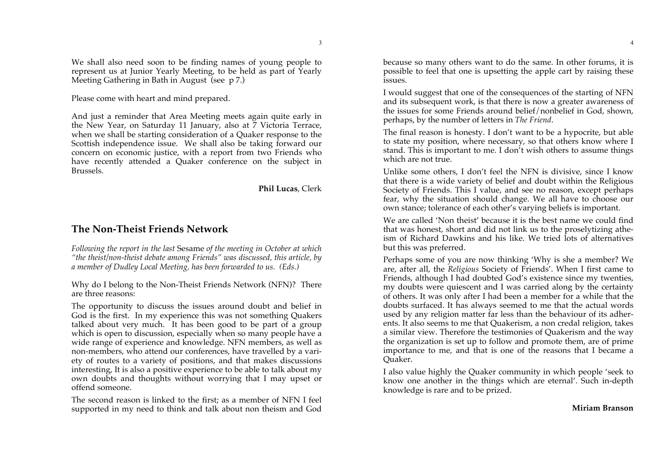We shall also need soon to be finding names of young people to represent us at Junior Yearly Meeting, to be held as part of Yearly Meeting Gathering in Bath in August (see p 7.)

Please come with heart and mind prepared.

And just a reminder that Area Meeting meets again quite early in the New Year, on Saturday 11 January, also at 7 Victoria Terrace, when we shall be starting consideration of a Quaker response to the Scottish independence issue. We shall also be taking forward our concern on economic justice, with a report from two Friends who have recently attended a Quaker conference on the subject in Brussels.

**Phil Lucas**, Clerk

## **The Non-Theist Friends Network**

*Following the report in the last* Sesame *of the meeting in October at which "the theist/non-theist debate among Friends" was discussed, this article, by a member of Dudley Local Meeting, has been forwarded to us. (Eds.)* 

Why do I belong to the Non-Theist Friends Network (NFN)? There are three reasons:

The opportunity to discuss the issues around doubt and belief in God is the first. In my experience this was not something Quakers talked about very much. It has been good to be part of a group which is open to discussion, especially when so many people have a wide range of experience and knowledge. NFN members, as well as non-members, who attend our conferences, have travelled by a variety of routes to a variety of positions, and that makes discussions interesting, It is also a positive experience to be able to talk about my own doubts and thoughts without worrying that I may upset or offend someone.

The second reason is linked to the first; as a member of NFN I feel supported in my need to think and talk about non theism and God because so many others want to do the same. In other forums, it is possible to feel that one is upsetting the apple cart by raising these issues.

I would suggest that one of the consequences of the starting of NFN and its subsequent work, is that there is now a greater awareness of the issues for some Friends around belief/nonbelief in God, shown, perhaps, by the number of letters in *The Friend*.

The final reason is honesty. I don't want to be a hypocrite, but able to state my position, where necessary, so that others know where I stand. This is important to me. I don't wish others to assume things which are not true.

Unlike some others, I don't feel the NFN is divisive, since I know that there is a wide variety of belief and doubt within the Religious Society of Friends. This I value, and see no reason, except perhaps fear, why the situation should change. We all have to choose our own stance; tolerance of each other's varying beliefs is important.

We are called 'Non theist' because it is the best name we could find that was honest, short and did not link us to the proselytizing atheism of Richard Dawkins and his like. We tried lots of alternatives but this was preferred.

Perhaps some of you are now thinking 'Why is she a member? We are, after all, the *Religious* Society of Friends'. When I first came to Friends, although I had doubted God's existence since my twenties, my doubts were quiescent and I was carried along by the certainty of others. It was only after I had been a member for a while that the doubts surfaced. It has always seemed to me that the actual words used by any religion matter far less than the behaviour of its adherents. It also seems to me that Quakerism, a non credal religion, takes a similar view. Therefore the testimonies of Quakerism and the way the organization is set up to follow and promote them, are of prime importance to me, and that is one of the reasons that I became a Quaker.

I also value highly the Quaker community in which people 'seek to know one another in the things which are eternal'. Such in-depth knowledge is rare and to be prized.

4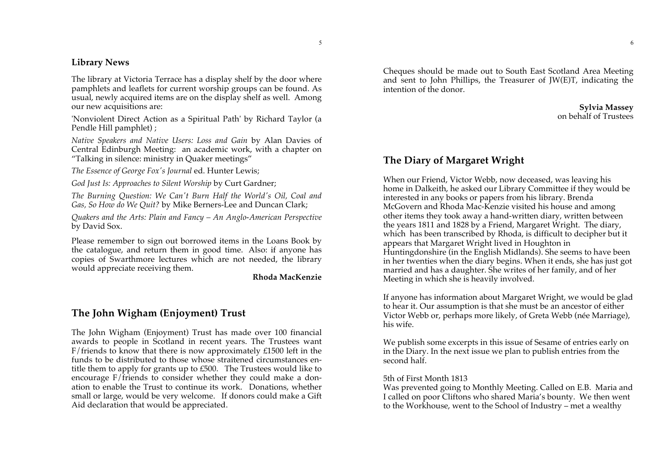## **Library News**

The library at Victoria Terrace has a display shelf by the door where pamphlets and leaflets for current worship groups can be found. As usual, newly acquired items are on the display shelf as well. Among our new acquisitions are:

'Nonviolent Direct Action as a Spiritual Path' by Richard Taylor (a Pendle Hill pamphlet) ;

*Native Speakers and Native Users: Loss and Gain* by Alan Davies of Central Edinburgh Meeting: an academic work, with a chapter on "Talking in silence: ministry in Quaker meetings"

*The Essence of George Fox's Journal* ed. Hunter Lewis;

*God Just Is: Approaches to Silent Worship* by Curt Gardner;

*The Burning Question: We Can't Burn Half the World's Oil, Coal and Gas, So How do We Quit?* by Mike Berners-Lee and Duncan Clark;

*Quakers and the Arts: Plain and Fancy – An Anglo-American Perspective* by David Sox.

Please remember to sign out borrowed items in the Loans Book by the catalogue, and return them in good time. Also: if anyone has copies of Swarthmore lectures which are not needed, the library would appreciate receiving them.

**Rhoda MacKenzie**

## **The John Wigham (Enjoyment) Trust**

The John Wigham (Enjoyment) Trust has made over 100 financial awards to people in Scotland in recent years. The Trustees want F/friends to know that there is now approximately £1500 left in the funds to be distributed to those whose straitened circumstances entitle them to apply for grants up to £500. The Trustees would like to encourage F/friends to consider whether they could make a donation to enable the Trust to continue its work. Donations, whether small or large, would be very welcome. If donors could make a Gift Aid declaration that would be appreciated.

Cheques should be made out to South East Scotland Area Meeting and sent to John Phillips, the Treasurer of JW $(E)$ T, indicating the intention of the donor.

> **Sylvia Massey** on behalf of Trustees

## **The Diary of Margaret Wright**

When our Friend, Victor Webb, now deceased, was leaving his home in Dalkeith, he asked our Library Committee if they would be interested in any books or papers from his library. Brenda McGovern and Rhoda Mac-Kenzie visited his house and among other items they took away a hand-written diary, written between the years 1811 and 1828 by a Friend, Margaret Wright. The diary, which has been transcribed by Rhoda, is difficult to decipher but it appears that Margaret Wright lived in Houghton in Huntingdonshire (in the English Midlands). She seems to have been in her twenties when the diary begins. When it ends, she has just got married and has a daughter. She writes of her family, and of her Meeting in which she is heavily involved.

If anyone has information about Margaret Wright, we would be glad to hear it. Our assumption is that she must be an ancestor of either Victor Webb or, perhaps more likely, of Greta Webb (née Marriage), his wife.

We publish some excerpts in this issue of Sesame of entries early on in the Diary. In the next issue we plan to publish entries from the second half.

#### 5th of First Month 1813

Was prevented going to Monthly Meeting. Called on E.B. Maria and I called on poor Cliftons who shared Maria's bounty. We then went to the Workhouse, went to the School of Industry – met a wealthy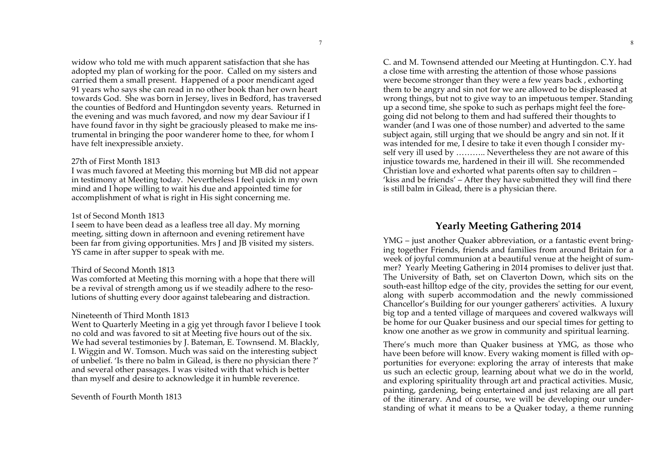widow who told me with much apparent satisfaction that she has adopted my plan of working for the poor. Called on my sisters and carried them a small present. Happened of a poor mendicant aged 91 years who says she can read in no other book than her own heart towards God. She was born in Jersey, lives in Bedford, has traversed the counties of Bedford and Huntingdon seventy years. Returned in the evening and was much favored, and now my dear Saviour if I have found favor in thy sight be graciously pleased to make me instrumental in bringing the poor wanderer home to thee, for whom I have felt inexpressible anxiety.

7

#### 27th of First Month 1813

I was much favored at Meeting this morning but MB did not appear in testimony at Meeting today. Nevertheless I feel quick in my own mind and I hope willing to wait his due and appointed time for accomplishment of what is right in His sight concerning me.

#### 1st of Second Month 1813

I seem to have been dead as a leafless tree all day. My morning meeting, sitting down in afternoon and evening retirement have been far from giving opportunities. Mrs J and JB visited my sisters. YS came in after supper to speak with me.

#### Third of Second Month 1813

Was comforted at Meeting this morning with a hope that there will be a revival of strength among us if we steadily adhere to the resolutions of shutting every door against talebearing and distraction.

#### Nineteenth of Third Month 1813

Went to Quarterly Meeting in a gig yet through favor I believe I took no cold and was favored to sit at Meeting five hours out of the six. We had several testimonies by J. Bateman, E. Townsend. M. Blackly, I. Wiggin and W. Tomson. Much was said on the interesting subject of unbelief. 'Is there no balm in Gilead, is there no physician there ?' and several other passages. I was visited with that which is better than myself and desire to acknowledge it in humble reverence.

Seventh of Fourth Month 1813

C. and M. Townsend attended our Meeting at Huntingdon. C.Y. had a close time with arresting the attention of those whose passions were become stronger than they were a few years back , exhorting them to be angry and sin not for we are allowed to be displeased at wrong things, but not to give way to an impetuous temper. Standing up a second time, she spoke to such as perhaps might feel the foregoing did not belong to them and had suffered their thoughts to wander (and I was one of those number) and adverted to the same subject again, still urging that we should be angry and sin not. If it was intended for me, I desire to take it even though I consider myself very ill used by ……….. Nevertheless they are not aware of this injustice towards me, hardened in their ill will. She recommended Christian love and exhorted what parents often say to children – 'kiss and be friends' – After they have submitted they will find there is still balm in Gilead, there is a physician there.

## **Yearly Meeting Gathering 2014**

YMG – just another Quaker abbreviation, or a fantastic event bringing together Friends, friends and families from around Britain for a week of joyful communion at a beautiful venue at the height of summer? Yearly Meeting Gathering in 2014 promises to deliver just that. The University of Bath, set on Claverton Down, which sits on the south-east hilltop edge of the city, provides the setting for our event, along with superb accommodation and the newly commissioned Chancellor's Building for our younger gatherers' activities. A luxury big top and a tented village of marquees and covered walkways will be home for our Quaker business and our special times for getting to know one another as we grow in community and spiritual learning.

There's much more than Quaker business at YMG, as those who have been before will know. Every waking moment is filled with opportunities for everyone: exploring the array of interests that make us such an eclectic group, learning about what we do in the world, and exploring spirituality through art and practical activities. Music, painting, gardening, being entertained and just relaxing are all part of the itinerary. And of course, we will be developing our understanding of what it means to be a Quaker today, a theme running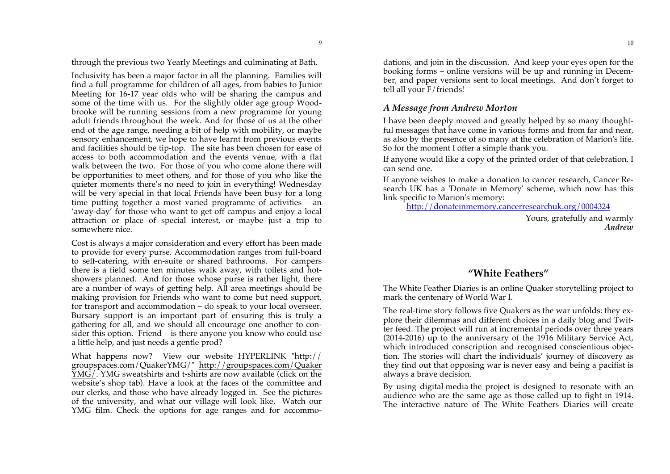through the previous two Yearly Meetings and culminating at Bath.

9

Inclusivity has been a major factor in all the planning. Families will find a full programme for children of all ages, from babies to Junior Meeting for 16-17 year olds who will be sharing the campus and some of the time with us. For the slightly older age group Woodbrooke will be running sessions from a new programme for young adult friends throughout the week. And for those of us at the other end of the age range, needing a bit of help with mobility, or maybe sensory enhancement, we hope to have learnt from previous events and facilities should be tip-top. The site has been chosen for ease of access to both accommodation and the events venue, with a flat walk between the two. For those of you who come alone there will be opportunities to meet others, and for those of you who like the quieter moments there's no need to join in everything! Wednesday will be very special in that local Friends have been busy for a long time putting together a most varied programme of activities – an 'away-day' for those who want to get off campus and enjoy a local attraction or place of special interest, or maybe just a trip to somewhere nice.

Cost is always a major consideration and every effort has been made to provide for every purse. Accommodation ranges from full-board to self-catering, with en-suite or shared bathrooms. For campers there is a field some ten minutes walk away, with toilets and hotshowers planned. And for those whose purse is rather light, there are a number of ways of getting help. All area meetings should be making provision for Friends who want to come but need support, for transport and accommodation – do speak to your local overseer. Bursary support is an important part of ensuring this is truly a gathering for all, and we should all encourage one another to consider this option. Friend – is there anyone you know who could use a little help, and just needs a gentle prod?

What happens now? View our website HYPERLINK "http:// groupspaces.com/QuakerYMG/" http://groupspaces.com/Quaker YMG/. YMG sweatshirts and t-shirts are now available (click on the website's shop tab). Have a look at the faces of the committee and our clerks, and those who have already logged in. See the pictures of the university, and what our village will look like. Watch our YMG film. Check the options for age ranges and for accommodations, and join in the discussion. And keep your eyes open for the booking forms – online versions will be up and running in December, and paper versions sent to local meetings. And don't forget to tell all your F/friends!

## *A Message from Andrew Morton*

I have been deeply moved and greatly helped by so many thoughtful messages that have come in various forms and from far and near, as also by the presence of so many at the celebration of Marion's life. So for the moment I offer a simple thank you.

If anyone would like a copy of the printed order of that celebration, I can send one.

If anyone wishes to make a donation to cancer research, Cancer Research UK has a 'Donate in Memory' scheme, which now has this link specific to Marion's memory:

http://donateinmemory.cancerresearchuk.org/0004324

Yours, gratefully and warmly *Andrew*

## **"White Feathers"**

The White Feather Diaries is an online Quaker storytelling project to mark the centenary of World War I.

The real-time story follows five Quakers as the war unfolds: they explore their dilemmas and different choices in a daily blog and Twitter feed. The project will run at incremental periods over three years (2014-2016) up to the anniversary of the 1916 Military Service Act, which introduced conscription and recognised conscientious objection. The stories will chart the individuals' journey of discovery as they find out that opposing war is never easy and being a pacifist is always a brave decision.

By using digital media the project is designed to resonate with an audience who are the same age as those called up to fight in 1914. The interactive nature of The White Feathers Diaries will create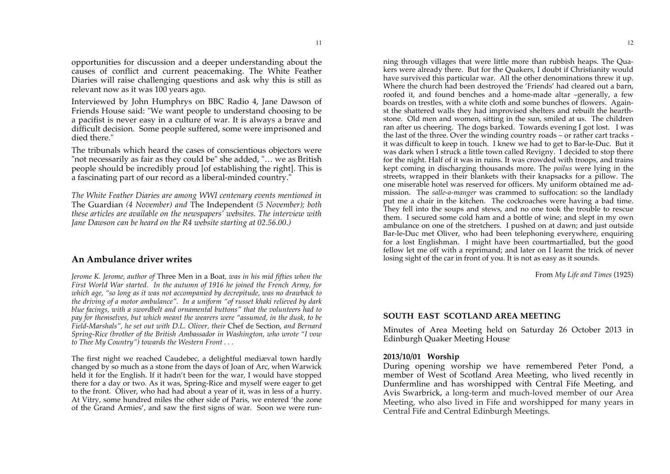opportunities for discussion and a deeper understanding about the causes of conflict and current peacemaking. The White Feather Diaries will raise challenging questions and ask why this is still as relevant now as it was 100 years ago.

Interviewed by John Humphrys on BBC Radio 4, Jane Dawson of Friends House said: "We want people to understand choosing to be a pacifist is never easy in a culture of war. It is always a brave and difficult decision. Some people suffered, some were imprisoned and died there."

The tribunals which heard the cases of conscientious objectors were "not necessarily as fair as they could be" she added, "… we as British people should be incredibly proud [of establishing the right]. This is a fascinating part of our record as a liberal-minded country."

*The White Feather Diaries are among WWI centenary events mentioned in* The Guardian *(4 November) and* The Independent *(5 November); both these articles are available on the newspapers' websites. The interview with Jane Dawson can be heard on the R4 website starting at 02.56.00.)*

#### **An Ambulance driver writes**

*Jerome K. Jerome, author of* Three Men in a Boat*, was in his mid fifties when the First World War started. In the autumn of 1916 he joined the French Army, for which age, "so long as it was not accompanied by decrepitude, was no drawback to the driving of a motor ambulance". In a uniform "of russet khaki relieved by dark blue facings, with a swordbelt and ornamental buttons" that the volunteers had to pay for themselves, but which meant the wearers were "assumed, in the dusk, to be Field-Marshals", he set out with D.L. Oliver, their* Chef de Section*, and Bernard Spring-Rice (brother of the British Ambassador in Washington, who wrote "I vow to Thee My Country") towards the Western Front . . .* 

The first night we reached Caudebec, a delightful mediæval town hardly changed by so much as a stone from the days of Joan of Arc, when Warwick held it for the English. If it hadn't been for the war, I would have stopped there for a day or two. As it was, Spring-Rice and myself were eager to get to the front. Oliver, who had had about a year of it, was in less of a hurry. At Vitry, some hundred miles the other side of Paris, we entered 'the zone of the Grand Armies', and saw the first signs of war. Soon we were run-

ning through villages that were little more than rubbish heaps. The Quakers were already there. But for the Quakers, I doubt if Christianity would have survived this particular war. All the other denominations threw it up. Where the church had been destroyed the 'Friends' had cleared out a barn, roofed it, and found benches and a home-made altar –generally, a few boards on trestles, with a white cloth and some bunches of flowers. Against the shattered walls they had improvised shelters and rebuilt the hearthstone. Old men and women, sitting in the sun, smiled at us. The children ran after us cheering. The dogs barked. Towards evening I got lost. I was the last of the three. Over the winding country roads – or rather cart tracks it was difficult to keep in touch. I knew we had to get to Bar-le-Duc. But it was dark when I struck a little town called Revigny. I decided to stop there for the night. Half of it was in ruins. It was crowded with troops, and trains kept coming in discharging thousands more. The *poilus* were lying in the streets, wrapped in their blankets with their knapsacks for a pillow. The one miserable hotel was reserved for officers. My uniform obtained me admission. The *salle-a-manger* was crammed to suffocation: so the landlady put me a chair in the kitchen. The cockroaches were having a bad time. They fell into the soups and stews, and no one took the trouble to rescue them. I secured some cold ham and a bottle of wine; and slept in my own ambulance on one of the stretchers. I pushed on at dawn; and just outside Bar-le-Duc met Oliver, who had been telephoning everywhere, enquiring

for a lost Englishman. I might have been courtmartialled, but the good fellow let me off with a reprimand; and later on I learnt the trick of never losing sight of the car in front of you. It is not as easy as it sounds.

From *My Life and Times* (1925)

#### **SOUTH EAST SCOTLAND AREA MEETING**

Minutes of Area Meeting held on Saturday 26 October 2013 in Edinburgh Quaker Meeting House

#### **2013/10/01 Worship**

During opening worship we have remembered Peter Pond, a member of West of Scotland Area Meeting, who lived recently in Dunfermline and has worshipped with Central Fife Meeting, and Avis Swarbrick, a long-term and much-loved member of our Area Meeting, who also lived in Fife and worshipped for many years in Central Fife and Central Edinburgh Meetings.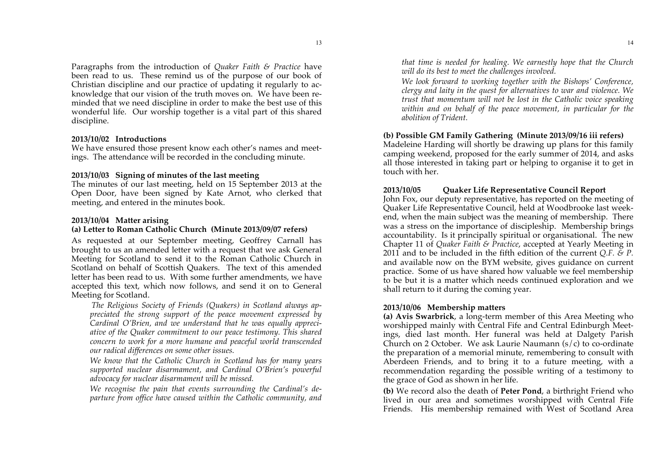Paragraphs from the introduction of *Quaker Faith & Practice* have been read to us. These remind us of the purpose of our book of Christian discipline and our practice of updating it regularly to acknowledge that our vision of the truth moves on. We have been reminded that we need discipline in order to make the best use of this wonderful life. Our worship together is a vital part of this shared discipline.

#### **2013/10/02 Introductions**

We have ensured those present know each other's names and meetings. The attendance will be recorded in the concluding minute.

#### **2013/10/03 Signing of minutes of the last meeting**

The minutes of our last meeting, held on 15 September 2013 at the Open Door, have been signed by Kate Arnot, who clerked that meeting, and entered in the minutes book.

#### **2013/10/04 Matter arising**

#### **(a) Letter to Roman Catholic Church (Minute 2013/09/07 refers)**

As requested at our September meeting, Geoffrey Carnall has brought to us an amended letter with a request that we ask General Meeting for Scotland to send it to the Roman Catholic Church in Scotland on behalf of Scottish Quakers. The text of this amended letter has been read to us. With some further amendments, we have accepted this text, which now follows, and send it on to General Meeting for Scotland.

*The Religious Society of Friends (Quakers) in Scotland always appreciated the strong support of the peace movement expressed by Cardinal O'Brien, and we understand that he was equally appreciative of the Quaker commitment to our peace testimony. This shared concern to work for a more humane and peaceful world transcended our radical differences on some other issues.*

*We know that the Catholic Church in Scotland has for many years supported nuclear disarmament, and Cardinal O'Brien's powerful advocacy for nuclear disarmament will be missed.*

*We recognise the pain that events surrounding the Cardinal's departure from office have caused within the Catholic community, and*  *that time is needed for healing. We earnestly hope that the Church will do its best to meet the challenges involved.*

*We look forward to working together with the Bishops' Conference, clergy and laity in the quest for alternatives to war and violence. We trust that momentum will not be lost in the Catholic voice speaking within and on behalf of the peace movement, in particular for the abolition of Trident.*

#### **(b) Possible GM Family Gathering (Minute 2013/09/16 iii refers)**

Madeleine Harding will shortly be drawing up plans for this family camping weekend, proposed for the early summer of 2014, and asks all those interested in taking part or helping to organise it to get in touch with her.

#### **2013/10/05 Quaker Life Representative Council Report**

John Fox, our deputy representative, has reported on the meeting of Quaker Life Representative Council, held at Woodbrooke last weekend, when the main subject was the meaning of membership. There was a stress on the importance of discipleship. Membership brings accountability. Is it principally spiritual or organisational. The new Chapter 11 of *Quaker Faith & Practice*, accepted at Yearly Meeting in 2011 and to be included in the fifth edition of the current *Q.F. & P.* and available now on the BYM website, gives guidance on current practice. Some of us have shared how valuable we feel membership to be but it is a matter which needs continued exploration and we shall return to it during the coming year.

#### **2013/10/06 Membership matters**

**(a) Avis Swarbrick**, a long-term member of this Area Meeting who worshipped mainly with Central Fife and Central Edinburgh Meetings, died last month. Her funeral was held at Dalgety Parish Church on 2 October. We ask Laurie Naumann (s/c) to co-ordinate the preparation of a memorial minute, remembering to consult with Aberdeen Friends, and to bring it to a future meeting, with a recommendation regarding the possible writing of a testimony to the grace of God as shown in her life.

**(b)** We record also the death of **Peter Pond**, a birthright Friend who lived in our area and sometimes worshipped with Central Fife Friends. His membership remained with West of Scotland Area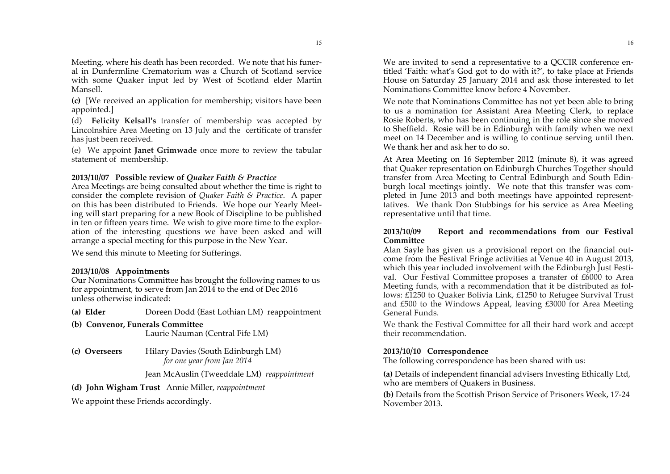Meeting, where his death has been recorded. We note that his funeral in Dunfermline Crematorium was a Church of Scotland service with some Quaker input led by West of Scotland elder Martin Mansell.

**(c)** [We received an application for membership; visitors have been appointed.]

(d) **Felicity Kelsall's** transfer of membership was accepted by Lincolnshire Area Meeting on 13 July and the certificate of transfer has just been received.

(e) We appoint **Janet Grimwade** once more to review the tabular statement of membership.

#### **2013/10/07 Possible review of** *Quaker Faith & Practice*

Area Meetings are being consulted about whether the time is right to consider the complete revision of *Quaker Faith & Practice*. A paper on this has been distributed to Friends. We hope our Yearly Meeting will start preparing for a new Book of Discipline to be published in ten or fifteen years time. We wish to give more time to the exploration of the interesting questions we have been asked and will arrange a special meeting for this purpose in the New Year.

We send this minute to Meeting for Sufferings.

#### **2013/10/08 Appointments**

Our Nominations Committee has brought the following names to us for appointment, to serve from Jan 2014 to the end of Dec 2016 unless otherwise indicated:

**(a) Elder** Doreen Dodd (East Lothian LM) reappointment

- **(b) Convenor, Funerals Committee** Laurie Nauman (Central Fife LM)
- **(c) Overseers** Hilary Davies (South Edinburgh LM)

*for one year from Jan 2014*

Jean McAuslin (Tweeddale LM) *reappointment*

#### **(d) John Wigham Trust** Annie Miller, *reappointment*

We appoint these Friends accordingly.

We are invited to send a representative to a QCCIR conference entitled 'Faith: what's God got to do with it?', to take place at Friends House on Saturday 25 January 2014 and ask those interested to let Nominations Committee know before 4 November.

We note that Nominations Committee has not yet been able to bring to us a nomination for Assistant Area Meeting Clerk, to replace Rosie Roberts, who has been continuing in the role since she moved to Sheffield. Rosie will be in Edinburgh with family when we next meet on 14 December and is willing to continue serving until then. We thank her and ask her to do so.

At Area Meeting on 16 September 2012 (minute 8), it was agreed that Quaker representation on Edinburgh Churches Together should transfer from Area Meeting to Central Edinburgh and South Edinburgh local meetings jointly. We note that this transfer was completed in June 2013 and both meetings have appointed representtatives. We thank Don Stubbings for his service as Area Meeting representative until that time.

#### **2013/10/09 Report and recommendations from our Festival Committee**

Alan Sayle has given us a provisional report on the financial outcome from the Festival Fringe activities at Venue 40 in August 2013, which this year included involvement with the Edinburgh Just Festival. Our Festival Committee proposes a transfer of £6000 to Area Meeting funds, with a recommendation that it be distributed as follows: £1250 to Quaker Bolivia Link, £1250 to Refugee Survival Trust and £500 to the Windows Appeal, leaving £3000 for Area Meeting General Funds.

We thank the Festival Committee for all their hard work and accept their recommendation.

#### **2013/10/10 Correspondence**

The following correspondence has been shared with us:

**(a)** Details of independent financial advisers Investing Ethically Ltd, who are members of Quakers in Business.

**(b)** Details from the Scottish Prison Service of Prisoners Week, 17-24 November 2013.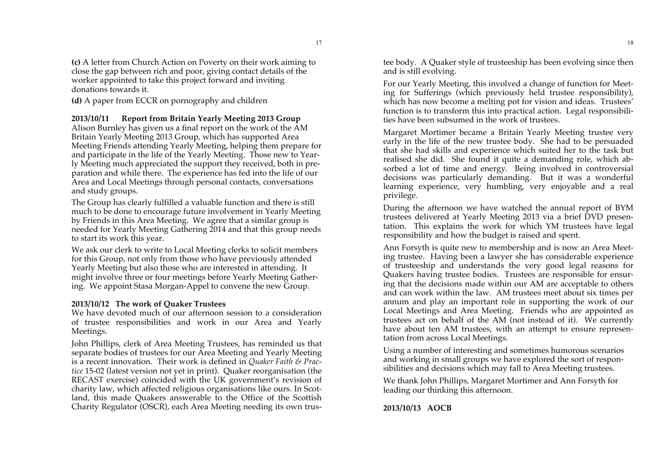**(c)** A letter from Church Action on Poverty on their work aiming to close the gap between rich and poor, giving contact details of the worker appointed to take this project forward and inviting donations towards it.

**(d)** A paper from ECCR on pornography and children

### **2013/10/11 Report from Britain Yearly Meeting 2013 Group**

Alison Burnley has given us a final report on the work of the AM Britain Yearly Meeting 2013 Group, which has supported Area Meeting Friends attending Yearly Meeting, helping them prepare for and participate in the life of the Yearly Meeting. Those new to Yearly Meeting much appreciated the support they received, both in preparation and while there. The experience has fed into the life of our Area and Local Meetings through personal contacts, conversations and study groups.

The Group has clearly fulfilled a valuable function and there is still much to be done to encourage future involvement in Yearly Meeting by Friends in this Area Meeting. We agree that a similar group is needed for Yearly Meeting Gathering 2014 and that this group needs to start its work this year.

We ask our clerk to write to Local Meeting clerks to solicit members for this Group, not only from those who have previously attended Yearly Meeting but also those who are interested in attending. It might involve three or four meetings before Yearly Meeting Gathering. We appoint Stasa Morgan-Appel to convene the new Group.

### **2013/10/12 The work of Quaker Trustees**

We have devoted much of our afternoon session to a consideration of trustee responsibilities and work in our Area and Yearly Meetings.

John Phillips, clerk of Area Meeting Trustees, has reminded us that separate bodies of trustees for our Area Meeting and Yearly Meeting is a recent innovation. Their work is defined in *Quaker Faith & Practice* 15-02 (latest version not yet in print). Quaker reorganisation (the RECAST exercise) coincided with the UK government's revision of charity law, which affected religious organisations like ours. In Scotland, this made Quakers answerable to the Office of the Scottish Charity Regulator (OSCR), each Area Meeting needing its own trustee body. A Quaker style of trusteeship has been evolving since then and is still evolving.

For our Yearly Meeting, this involved a change of function for Meeting for Sufferings (which previously held trustee responsibility), which has now become a melting pot for vision and ideas. Trustees' function is to transform this into practical action. Legal responsibilities have been subsumed in the work of trustees.

Margaret Mortimer became a Britain Yearly Meeting trustee very early in the life of the new trustee body. She had to be persuaded that she had skills and experience which suited her to the task but realised she did. She found it quite a demanding role, which absorbed a lot of time and energy. Being involved in controversial decisions was particularly demanding. But it was a wonderful learning experience, very humbling, very enjoyable and a real privilege.

During the afternoon we have watched the annual report of BYM trustees delivered at Yearly Meeting 2013 via a brief DVD presentation. This explains the work for which YM trustees have legal responsibility and how the budget is raised and spent.

Ann Forsyth is quite new to membership and is now an Area Meeting trustee. Having been a lawyer she has considerable experience of trusteeship and understands the very good legal reasons for Quakers having trustee bodies. Trustees are responsible for ensuring that the decisions made within our AM are acceptable to others and can work within the law. AM trustees meet about six times per annum and play an important role in supporting the work of our Local Meetings and Area Meeting. Friends who are appointed as trustees act on behalf of the AM (not instead of it). We currently have about ten AM trustees, with an attempt to ensure representation from across Local Meetings.

Using a number of interesting and sometimes humorous scenarios and working in small groups we have explored the sort of responsibilities and decisions which may fall to Area Meeting trustees.

We thank John Phillips, Margaret Mortimer and Ann Forsyth for leading our thinking this afternoon.

**2013/10/13 AOCB**